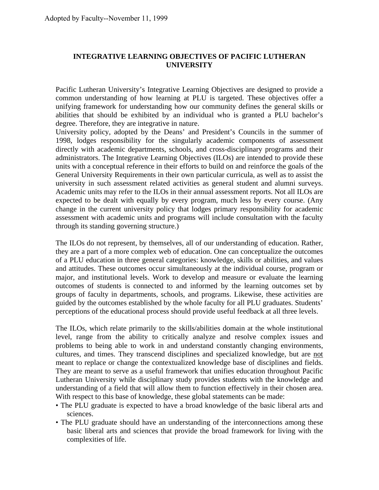# **INTEGRATIVE LEARNING OBJECTIVES OF PACIFIC LUTHERAN UNIVERSITY**

Pacific Lutheran University's Integrative Learning Objectives are designed to provide a common understanding of how learning at PLU is targeted. These objectives offer a unifying framework for understanding how our community defines the general skills or abilities that should be exhibited by an individual who is granted a PLU bachelor's degree. Therefore, they are integrative in nature.

University policy, adopted by the Deans' and President's Councils in the summer of 1998, lodges responsibility for the singularly academic components of assessment directly with academic departments, schools, and cross-disciplinary programs and their administrators. The Integrative Learning Objectives (ILOs) are intended to provide these units with a conceptual reference in their efforts to build on and reinforce the goals of the General University Requirements in their own particular curricula, as well as to assist the university in such assessment related activities as general student and alumni surveys. Academic units may refer to the ILOs in their annual assessment reports. Not all ILOs are expected to be dealt with equally by every program, much less by every course. (Any change in the current university policy that lodges primary responsibility for academic assessment with academic units and programs will include consultation with the faculty through its standing governing structure.)

The ILOs do not represent, by themselves, all of our understanding of education. Rather, they are a part of a more complex web of education. One can conceptualize the outcomes of a PLU education in three general categories: knowledge, skills or abilities, and values and attitudes. These outcomes occur simultaneously at the individual course, program or major, and institutional levels. Work to develop and measure or evaluate the learning outcomes of students is connected to and informed by the learning outcomes set by groups of faculty in departments, schools, and programs. Likewise, these activities are guided by the outcomes established by the whole faculty for all PLU graduates. Students' perceptions of the educational process should provide useful feedback at all three levels.

The ILOs, which relate primarily to the skills/abilities domain at the whole institutional level, range from the ability to critically analyze and resolve complex issues and problems to being able to work in and understand constantly changing environments, cultures, and times. They transcend disciplines and specialized knowledge, but are not meant to replace or change the contextualized knowledge base of disciplines and fields. They are meant to serve as a useful framework that unifies education throughout Pacific Lutheran University while disciplinary study provides students with the knowledge and understanding of a field that will allow them to function effectively in their chosen area. With respect to this base of knowledge, these global statements can be made:

- The PLU graduate is expected to have a broad knowledge of the basic liberal arts and sciences.
- The PLU graduate should have an understanding of the interconnections among these basic liberal arts and sciences that provide the broad framework for living with the complexities of life.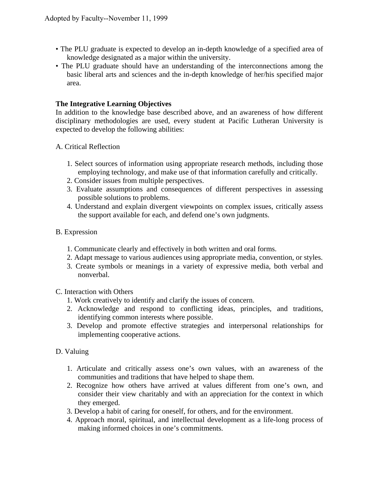- The PLU graduate is expected to develop an in-depth knowledge of a specified area of knowledge designated as a major within the university.
- The PLU graduate should have an understanding of the interconnections among the basic liberal arts and sciences and the in-depth knowledge of her/his specified major area.

### **The Integrative Learning Objectives**

In addition to the knowledge base described above, and an awareness of how different disciplinary methodologies are used, every student at Pacific Lutheran University is expected to develop the following abilities:

- A. Critical Reflection
	- 1. Select sources of information using appropriate research methods, including those employing technology, and make use of that information carefully and critically.
	- 2. Consider issues from multiple perspectives.
	- 3. Evaluate assumptions and consequences of different perspectives in assessing possible solutions to problems.
	- 4. Understand and explain divergent viewpoints on complex issues, critically assess the support available for each, and defend one's own judgments.

### B. Expression

- 1. Communicate clearly and effectively in both written and oral forms.
- 2. Adapt message to various audiences using appropriate media, convention, or styles.
- 3. Create symbols or meanings in a variety of expressive media, both verbal and nonverbal.

#### C. Interaction with Others

- 1. Work creatively to identify and clarify the issues of concern.
- 2. Acknowledge and respond to conflicting ideas, principles, and traditions, identifying common interests where possible.
- 3. Develop and promote effective strategies and interpersonal relationships for implementing cooperative actions.

# D. Valuing

- 1. Articulate and critically assess one's own values, with an awareness of the communities and traditions that have helped to shape them.
- 2. Recognize how others have arrived at values different from one's own, and consider their view charitably and with an appreciation for the context in which they emerged.
- 3. Develop a habit of caring for oneself, for others, and for the environment.
- 4. Approach moral, spiritual, and intellectual development as a life-long process of making informed choices in one's commitments.